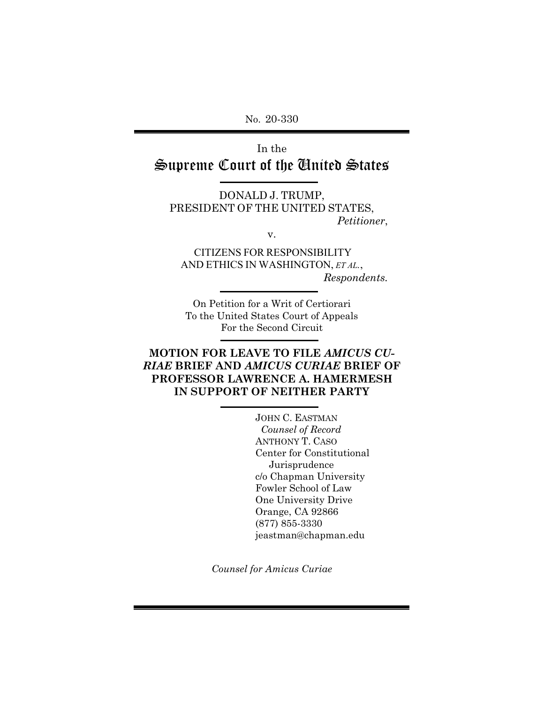No. 20-330

In the Supreme Court of the United States

DONALD J. TRUMP, PRESIDENT OF THE UNITED STATES, *Petitioner*,

v.

CITIZENS FOR RESPONSIBILITY AND ETHICS IN WASHINGTON, *ET AL.*, *Respondents.*

On Petition for a Writ of Certiorari To the United States Court of Appeals For the Second Circuit

## **MOTION FOR LEAVE TO FILE** *AMICUS CU-RIAE* **BRIEF AND** *AMICUS CURIAE* **BRIEF OF PROFESSOR LAWRENCE A. HAMERMESH IN SUPPORT OF NEITHER PARTY**

JOHN C. EASTMAN  *Counsel of Record* ANTHONY T. CASO Center for Constitutional Jurisprudence c/o Chapman University Fowler School of Law One University Drive Orange, CA 92866 (877) 855-3330 jeastman@chapman.edu

*Counsel for Amicus Curiae*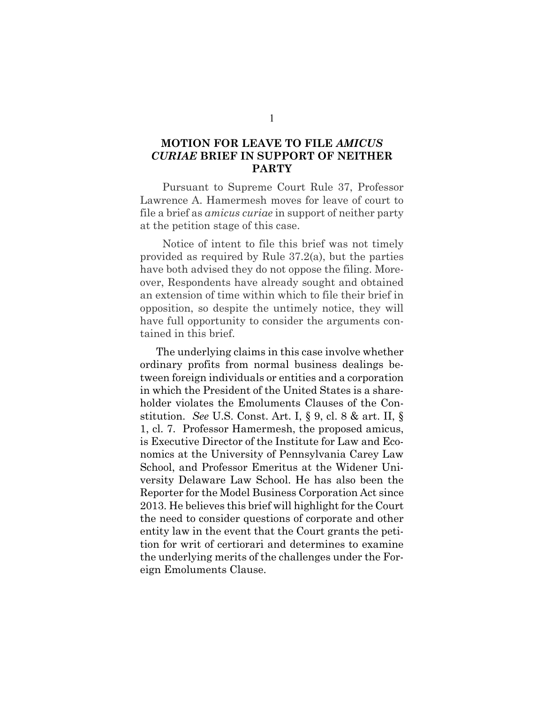### <span id="page-1-0"></span>**MOTION FOR LEAVE TO FILE** *AMICUS CURIAE* **BRIEF IN SUPPORT OF NEITHER PARTY**

Pursuant to Supreme Court Rule 37, Professor Lawrence A. Hamermesh moves for leave of court to file a brief as *amicus curiae* in support of neither party at the petition stage of this case.

Notice of intent to file this brief was not timely provided as required by Rule 37.2(a), but the parties have both advised they do not oppose the filing. Moreover, Respondents have already sought and obtained an extension of time within which to file their brief in opposition, so despite the untimely notice, they will have full opportunity to consider the arguments contained in this brief.

The underlying claims in this case involve whether ordinary profits from normal business dealings between foreign individuals or entities and a corporation in which the President of the United States is a shareholder violates the Emoluments Clauses of the Constitution. *See* U.S. Const. Art. I, § 9, cl. 8 & art. II, § 1, cl. 7. Professor Hamermesh, the proposed amicus, is Executive Director of the Institute for Law and Economics at the University of Pennsylvania Carey Law School, and Professor Emeritus at the Widener University Delaware Law School. He has also been the Reporter for the Model Business Corporation Act since 2013. He believes this brief will highlight for the Court the need to consider questions of corporate and other entity law in the event that the Court grants the petition for writ of certiorari and determines to examine the underlying merits of the challenges under the Foreign Emoluments Clause.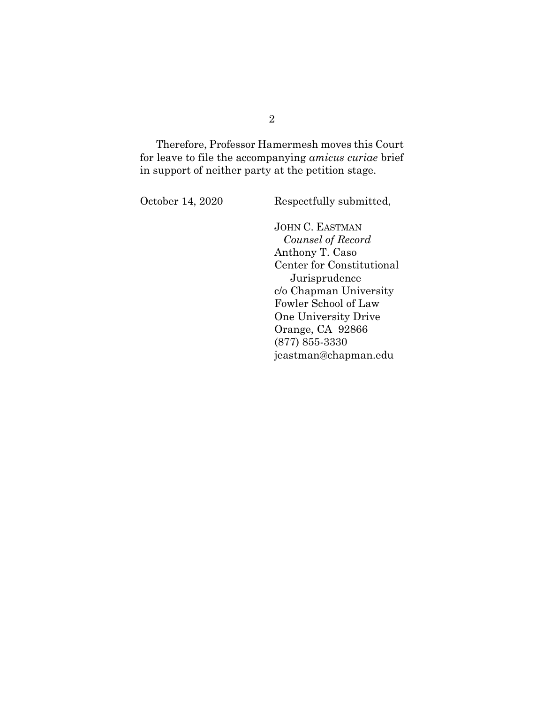Therefore, Professor Hamermesh moves this Court for leave to file the accompanying *amicus curiae* brief in support of neither party at the petition stage.

October 14, 2020 Respectfully submitted,

JOHN C. EASTMAN  *Counsel of Record* Anthony T. Caso Center for Constitutional Jurisprudence c/o Chapman University Fowler School of Law One University Drive Orange, CA 92866 (877) 855-3330 jeastman@chapman.edu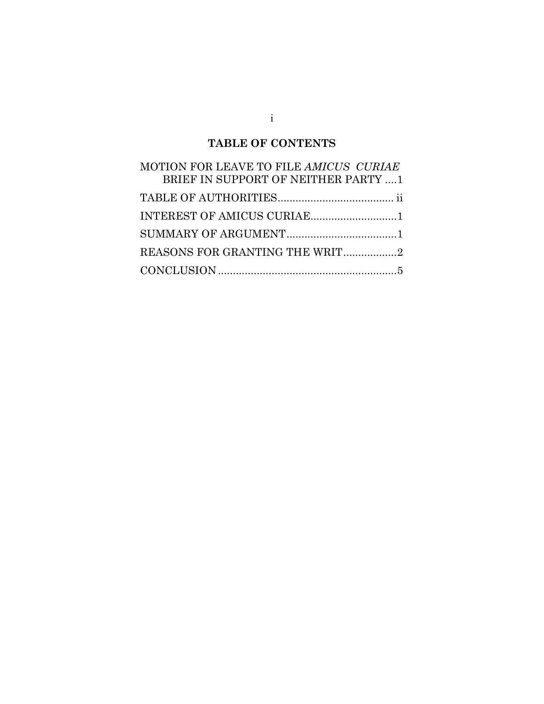# **TABLE OF CONTENTS**

| MOTION FOR LEAVE TO FILE AMICUS CURIAE |
|----------------------------------------|
| BRIEF IN SUPPORT OF NEITHER PARTY 1    |
|                                        |
|                                        |
|                                        |
| REASONS FOR GRANTING THE WRIT2         |
|                                        |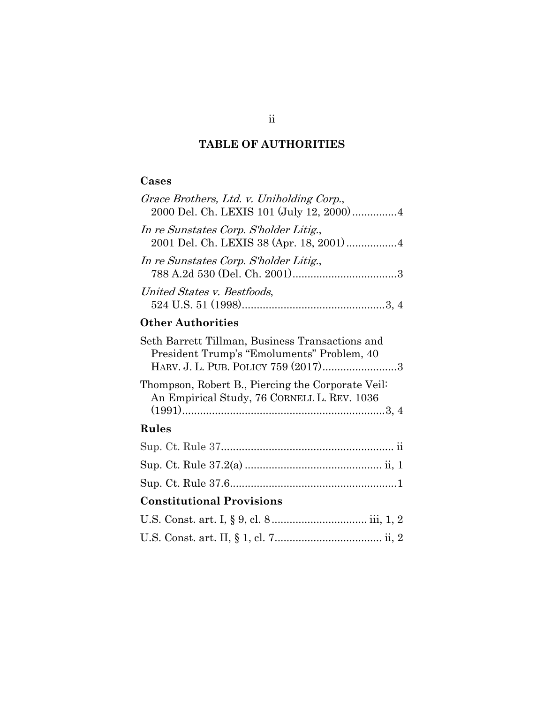# **TABLE OF AUTHORITIES**

## <span id="page-4-0"></span>**Cases**

| Grace Brothers, Ltd. v. Uniholding Corp.,<br>2000 Del. Ch. LEXIS 101 (July 12, 2000)  4                                              |
|--------------------------------------------------------------------------------------------------------------------------------------|
| In re Sunstates Corp. S'holder Litig.,<br>2001 Del. Ch. LEXIS 38 (Apr. 18, 2001) 4                                                   |
| In re Sunstates Corp. S'holder Litig.,                                                                                               |
| United States v. Bestfoods,                                                                                                          |
| <b>Other Authorities</b>                                                                                                             |
| Seth Barrett Tillman, Business Transactions and<br>President Trump's "Emoluments" Problem, 40<br>HARV. J. L. PUB. POLICY 759 (2017)3 |
| Thompson, Robert B., Piercing the Corporate Veil:<br>An Empirical Study, 76 CORNELL L. REV. 1036                                     |
| Rules                                                                                                                                |
|                                                                                                                                      |
|                                                                                                                                      |
|                                                                                                                                      |
| <b>Constitutional Provisions</b>                                                                                                     |
|                                                                                                                                      |
|                                                                                                                                      |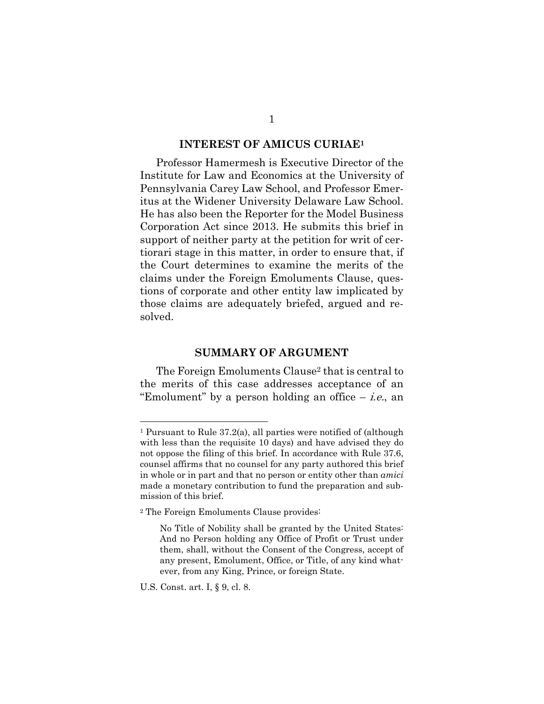### **INTEREST OF AMICUS CURIAE<sup>1</sup>**

<span id="page-5-0"></span>Professor Hamermesh is Executive Director of the Institute for Law and Economics at the University of Pennsylvania Carey Law School, and Professor Emeritus at the Widener University Delaware Law School. He has also been the Reporter for the Model Business Corporation Act since 2013. He submits this brief in support of neither party at the petition for writ of certiorari stage in this matter, in order to ensure that, if the Court determines to examine the merits of the claims under the Foreign Emoluments Clause, questions of corporate and other entity law implicated by those claims are adequately briefed, argued and resolved.

### **SUMMARY OF ARGUMENT**

<span id="page-5-1"></span>The Foreign Emoluments Clause<sup>2</sup> that is central to the merits of this case addresses acceptance of an "Emolument" by a person holding an office  $-$  *i.e.*, an

<sup>1</sup> Pursuant to Rule 37.2(a), all parties were notified of (although with less than the requisite 10 days) and have advised they do not oppose the filing of this brief. In accordance with Rule 37.6, counsel affirms that no counsel for any party authored this brief in whole or in part and that no person or entity other than *amici* made a monetary contribution to fund the preparation and submission of this brief.

<sup>2</sup> The Foreign Emoluments Clause provides:

No Title of Nobility shall be granted by the United States: And no Person holding any Office of Profit or Trust under them, shall, without the Consent of the Congress, accept of any present, Emolument, Office, or Title, of any kind whatever, from any King, Prince, or foreign State.

U.S. Const. art. I, § 9, cl. 8.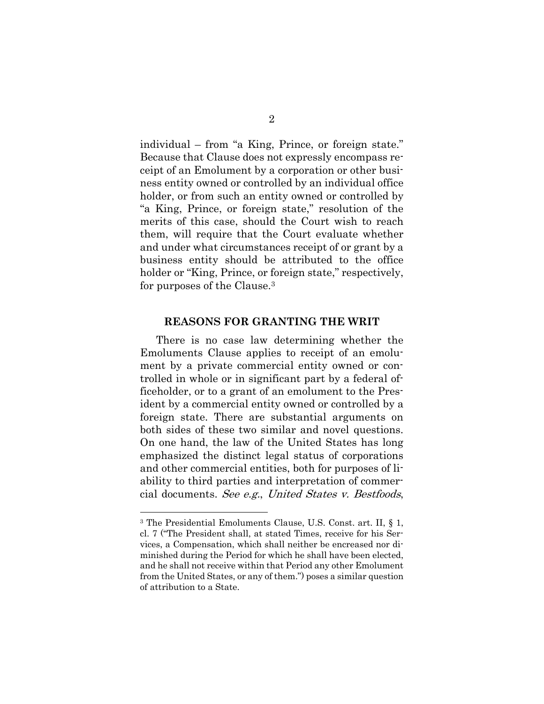individual – from "a King, Prince, or foreign state." Because that Clause does not expressly encompass receipt of an Emolument by a corporation or other business entity owned or controlled by an individual office holder, or from such an entity owned or controlled by "a King, Prince, or foreign state," resolution of the merits of this case, should the Court wish to reach them, will require that the Court evaluate whether and under what circumstances receipt of or grant by a business entity should be attributed to the office holder or "King, Prince, or foreign state," respectively, for purposes of the Clause.<sup>3</sup>

#### **REASONS FOR GRANTING THE WRIT**

<span id="page-6-0"></span>There is no case law determining whether the Emoluments Clause applies to receipt of an emolument by a private commercial entity owned or controlled in whole or in significant part by a federal officeholder, or to a grant of an emolument to the President by a commercial entity owned or controlled by a foreign state. There are substantial arguments on both sides of these two similar and novel questions. On one hand, the law of the United States has long emphasized the distinct legal status of corporations and other commercial entities, both for purposes of liability to third parties and interpretation of commercial documents. See e.g., United States v. Bestfoods,

<sup>3</sup> The Presidential Emoluments Clause, U.S. Const. art. II, § 1, cl. 7 ("The President shall, at stated Times, receive for his Services, a Compensation, which shall neither be encreased nor diminished during the Period for which he shall have been elected, and he shall not receive within that Period any other Emolument from the United States, or any of them.") poses a similar question of attribution to a State.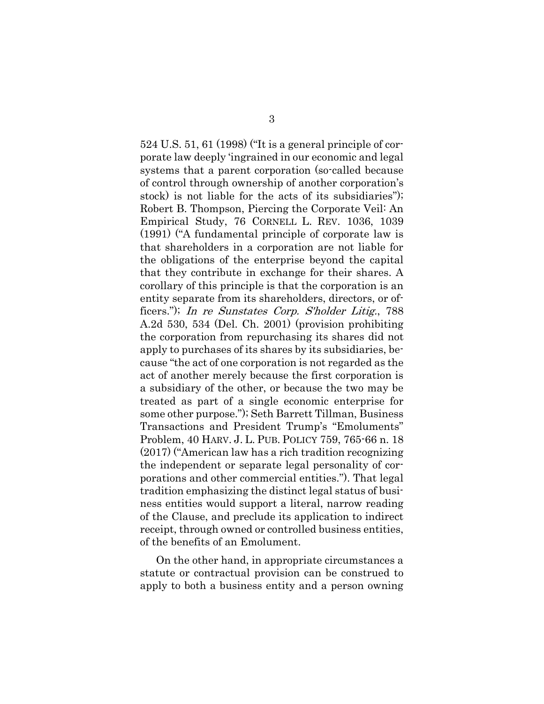524 U.S. 51, 61 (1998) ("It is a general principle of corporate law deeply 'ingrained in our economic and legal systems that a parent corporation (so-called because of control through ownership of another corporation's stock) is not liable for the acts of its subsidiaries"); Robert B. Thompson, Piercing the Corporate Veil: An Empirical Study, 76 CORNELL L. REV. 1036, 1039 (1991) ("A fundamental principle of corporate law is that shareholders in a corporation are not liable for the obligations of the enterprise beyond the capital that they contribute in exchange for their shares. A corollary of this principle is that the corporation is an entity separate from its shareholders, directors, or officers."); In re Sunstates Corp. S'holder Litig., 788 A.2d 530, 534 (Del. Ch. 2001) (provision prohibiting the corporation from repurchasing its shares did not apply to purchases of its shares by its subsidiaries, because "the act of one corporation is not regarded as the act of another merely because the first corporation is a subsidiary of the other, or because the two may be treated as part of a single economic enterprise for some other purpose."); Seth Barrett Tillman, Business Transactions and President Trump's "Emoluments" Problem, 40 HARV. J. L. PUB. POLICY 759, 765-66 n. 18 (2017) ("American law has a rich tradition recognizing the independent or separate legal personality of corporations and other commercial entities."). That legal tradition emphasizing the distinct legal status of business entities would support a literal, narrow reading of the Clause, and preclude its application to indirect receipt, through owned or controlled business entities, of the benefits of an Emolument.

On the other hand, in appropriate circumstances a statute or contractual provision can be construed to apply to both a business entity and a person owning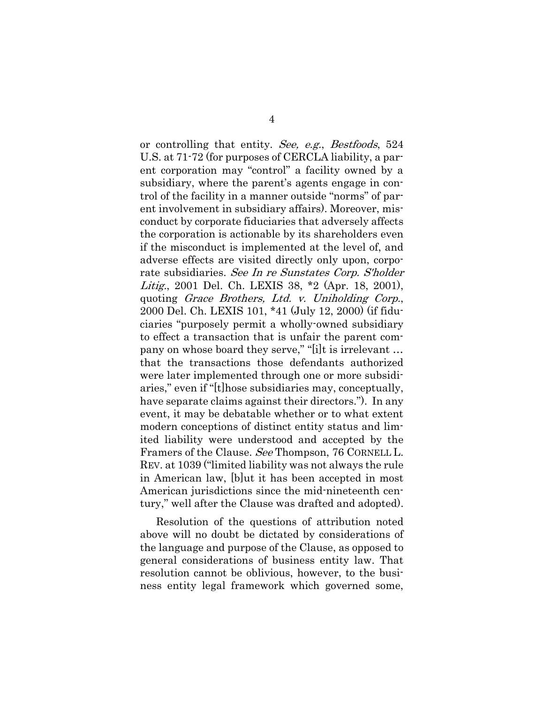or controlling that entity. See, e.g., Bestfoods, 524 U.S. at 71-72 (for purposes of CERCLA liability, a parent corporation may "control" a facility owned by a subsidiary, where the parent's agents engage in control of the facility in a manner outside "norms" of parent involvement in subsidiary affairs). Moreover, misconduct by corporate fiduciaries that adversely affects the corporation is actionable by its shareholders even if the misconduct is implemented at the level of, and adverse effects are visited directly only upon, corporate subsidiaries. See In re Sunstates Corp. S'holder Litig., 2001 Del. Ch. LEXIS 38, \*2 (Apr. 18, 2001), quoting Grace Brothers, Ltd. v. Uniholding Corp., 2000 Del. Ch. LEXIS 101, \*41 (July 12, 2000) (if fiduciaries "purposely permit a wholly-owned subsidiary to effect a transaction that is unfair the parent company on whose board they serve," "[i]t is irrelevant … that the transactions those defendants authorized were later implemented through one or more subsidiaries," even if "[t]hose subsidiaries may, conceptually, have separate claims against their directors."). In any event, it may be debatable whether or to what extent modern conceptions of distinct entity status and limited liability were understood and accepted by the Framers of the Clause. See Thompson, 76 CORNELL L. REV. at 1039 ("limited liability was not always the rule in American law, [b]ut it has been accepted in most American jurisdictions since the mid-nineteenth century," well after the Clause was drafted and adopted).

Resolution of the questions of attribution noted above will no doubt be dictated by considerations of the language and purpose of the Clause, as opposed to general considerations of business entity law. That resolution cannot be oblivious, however, to the business entity legal framework which governed some,